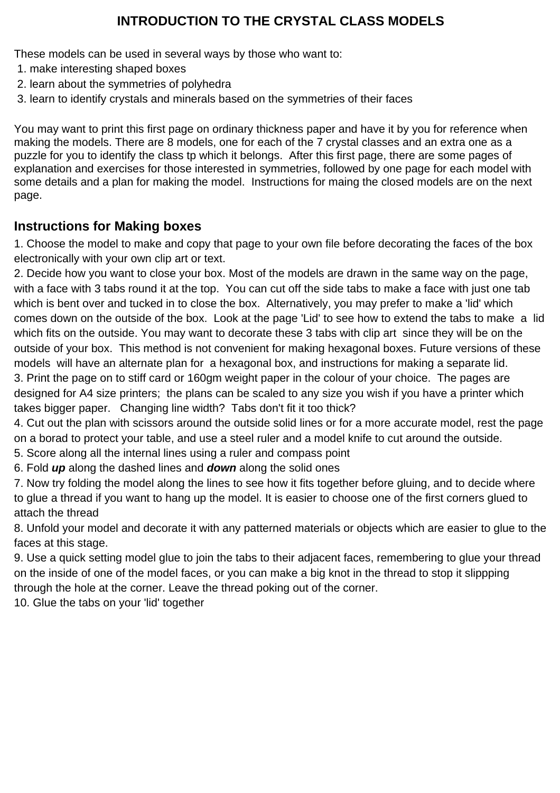### **INTRODUCTION TO THE CRYSTAL CLASS MODELS**

These models can be used in several ways by those who want to:

- 1. make interesting shaped boxes
- 2. learn about the symmetries of polyhedra
- 3. learn to identify crystals and minerals based on the symmetries of their faces

You may want to print this first page on ordinary thickness paper and have it by you for reference when making the models. There are 8 models, one for each of the 7 crystal classes and an extra one as a puzzle for you to identify the class tp which it belongs. After this first page, there are some pages of explanation and exercises for those interested in symmetries, followed by one page for each model with some details and a plan for making the model. Instructions for maing the closed models are on the next page.

### **Instructions for Making boxes**

1. Choose the model to make and copy that page to your own file before decorating the faces of the box electronically with your own clip art or text.

2. Decide how you want to close your box. Most of the models are drawn in the same way on the page, with a face with 3 tabs round it at the top. You can cut off the side tabs to make a face with just one tab which is bent over and tucked in to close the box. Alternatively, you may prefer to make a 'lid' which comes down on the outside of the box. Look at the page 'Lid' to see how to extend the tabs to make a lid which fits on the outside. You may want to decorate these 3 tabs with clip art since they will be on the outside of your box. This method is not convenient for making hexagonal boxes. Future versions of these models will have an alternate plan for a hexagonal box, and instructions for making a separate lid. 3. Print the page on to stiff card or 160gm weight paper in the colour of your choice. The pages are designed for A4 size printers; the plans can be scaled to any size you wish if you have a printer which takes bigger paper. Changing line width? Tabs don't fit it too thick?

4. Cut out the plan with scissors around the outside solid lines or for a more accurate model, rest the page on a borad to protect your table, and use a steel ruler and a model knife to cut around the outside.

- 5. Score along all the internal lines using a ruler and compass point
- 6. Fold **up** along the dashed lines and **down** along the solid ones

7. Now try folding the model along the lines to see how it fits together before gluing, and to decide where to glue a thread if you want to hang up the model. It is easier to choose one of the first corners glued to attach the thread

8. Unfold your model and decorate it with any patterned materials or objects which are easier to glue to the faces at this stage.

9. Use a quick setting model glue to join the tabs to their adjacent faces, remembering to glue your thread on the inside of one of the model faces, or you can make a big knot in the thread to stop it slippping through the hole at the corner. Leave the thread poking out of the corner.

10. Glue the tabs on your 'lid' together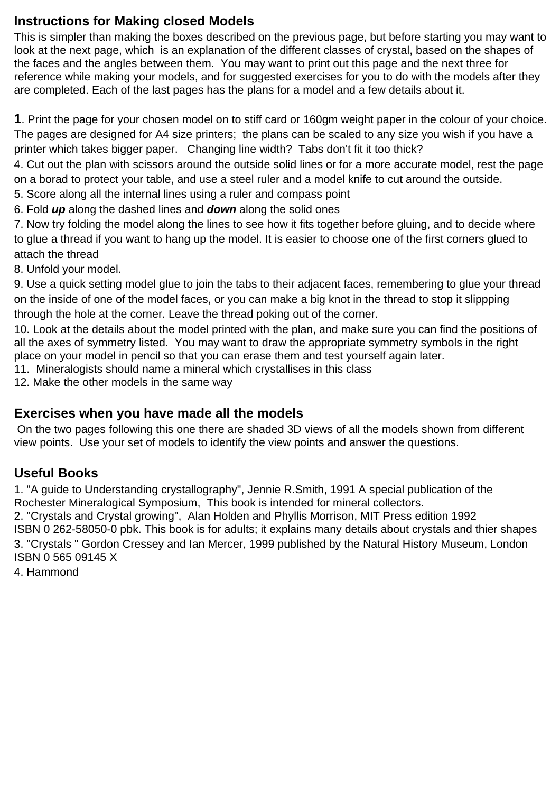### **Instructions for Making closed Models**

This is simpler than making the boxes described on the previous page, but before starting you may want to look at the next page, which is an explanation of the different classes of crystal, based on the shapes of the faces and the angles between them. You may want to print out this page and the next three for reference while making your models, and for suggested exercises for you to do with the models after they are completed. Each of the last pages has the plans for a model and a few details about it.

**1**. Print the page for your chosen model on to stiff card or 160gm weight paper in the colour of your choice. The pages are designed for A4 size printers; the plans can be scaled to any size you wish if you have a printer which takes bigger paper. Changing line width? Tabs don't fit it too thick?

4. Cut out the plan with scissors around the outside solid lines or for a more accurate model, rest the page on a borad to protect your table, and use a steel ruler and a model knife to cut around the outside.

5. Score along all the internal lines using a ruler and compass point

6. Fold **up** along the dashed lines and **down** along the solid ones

7. Now try folding the model along the lines to see how it fits together before gluing, and to decide where to glue a thread if you want to hang up the model. It is easier to choose one of the first corners glued to attach the thread

8. Unfold your model.

9. Use a quick setting model glue to join the tabs to their adjacent faces, remembering to glue your thread on the inside of one of the model faces, or you can make a big knot in the thread to stop it slippping through the hole at the corner. Leave the thread poking out of the corner.

10. Look at the details about the model printed with the plan, and make sure you can find the positions of all the axes of symmetry listed. You may want to draw the appropriate symmetry symbols in the right place on your model in pencil so that you can erase them and test yourself again later.

11. Mineralogists should name a mineral which crystallises in this class

12. Make the other models in the same way

#### **Exercises when you have made all the models**

 On the two pages following this one there are shaded 3D views of all the models shown from different view points. Use your set of models to identify the view points and answer the questions.

### **Useful Books**

1. "A guide to Understanding crystallography", Jennie R.Smith, 1991 A special publication of the Rochester Mineralogical Symposium, This book is intended for mineral collectors.

2. "Crystals and Crystal growing", Alan Holden and Phyllis Morrison, MIT Press edition 1992 ISBN 0 262-58050-0 pbk. This book is for adults; it explains many details about crystals and thier shapes 3. "Crystals " Gordon Cressey and Ian Mercer, 1999 published by the Natural History Museum, London ISBN 0 565 09145 X

4. Hammond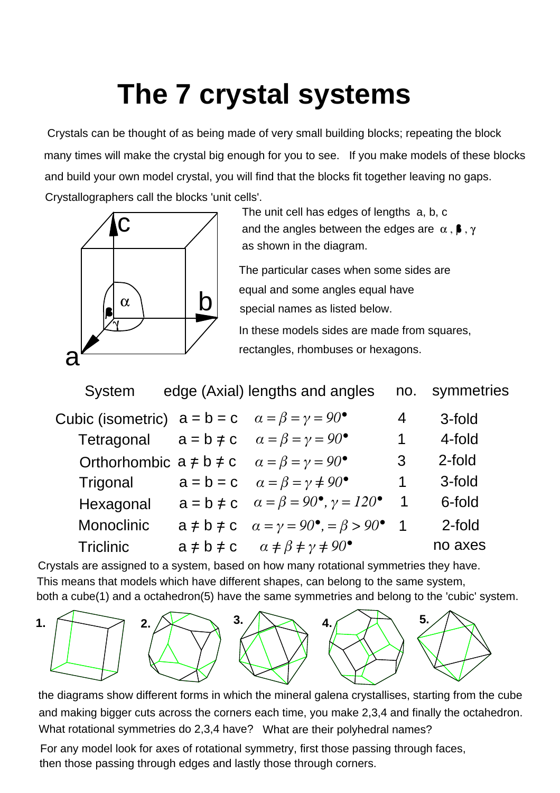## **The 7 crystal systems**

Crystals can be thought of as being made of very small building blocks; repeating the block many times will make the crystal big enough for you to see. If you make models of these blocks Crystallographers call the blocks 'unit cells'. and build your own model crystal, you will find that the blocks fit together leaving no gaps.



The unit cell has edges of lengths a, b, c as shown in the diagram. and the angles between the edges are  $\alpha$ ,  $\beta$ ,  $\gamma$ 

The particular cases when some sides are equal and some angles equal have special names as listed below.

In these models sides are made from squares, rectangles, rhombuses or hexagons.

| System           | edge (Axial) lengths and angles                                      |                          | no. symmetries |
|------------------|----------------------------------------------------------------------|--------------------------|----------------|
|                  | Cubic (isometric) $a = b = c$ $\alpha = \beta = \gamma = 90^{\circ}$ | 4                        | 3-fold         |
|                  | Tetragonal $a = b \neq c$ $\alpha = \beta = \gamma = 90^{\circ}$     | 1                        | 4-fold         |
|                  | Orthorhombic $a \ne b \ne c$ $\alpha = \beta = \gamma = 90^{\circ}$  | 3                        | 2-fold         |
| Trigonal         | $a = b = c$ $\alpha = \beta = \gamma \neq 90^{\circ}$                | 1                        | 3-fold         |
| Hexagonal        | $a = b \neq c$ $\alpha = \beta = 90^{\circ}, \gamma = 120^{\circ}$   | $\overline{1}$           | 6-fold         |
| Monoclinic       | $a \ne b \ne c$ $\alpha = \gamma = 90^{\circ}, = \beta > 90^{\circ}$ | $\overline{\phantom{0}}$ | 2-fold         |
| <b>Triclinic</b> | $a \neq b \neq c$ $\alpha \neq \beta \neq \gamma \neq 90^{\circ}$    |                          | no axes        |
|                  |                                                                      |                          |                |

Crystals are assigned to a system, based on how many rotational symmetries they have. This means that models which have different shapes, can belong to the same system, both a cube(1) and a octahedron(5) have the same symmetries and belong to the 'cubic' system.



the diagrams show different forms in which the mineral galena crystallises, starting from the cube and making bigger cuts across the corners each time, you make 2,3,4 and finally the octahedron. What rotational symmetries do 2,3,4 have? What are their polyhedral names?

For any model look for axes of rotational symmetry, first those passing through faces, then those passing through edges and lastly those through corners.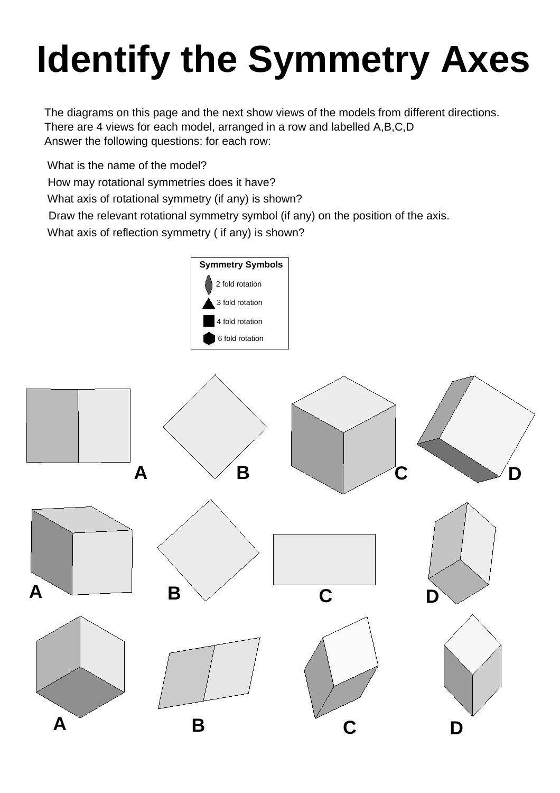# **Identify the Symmetry Axes**

The diagrams on this page and the next show views of the models from different directions. There are 4 views for each model, arranged in a row and labelled A,B,C,D Answer the following questions: for each row:

What is the name of the model?

How may rotational symmetries does it have?

What axis of rotational symmetry (if any) is shown?

Draw the relevant rotational symmetry symbol (if any) on the position of the axis.

What axis of reflection symmetry ( if any) is shown?

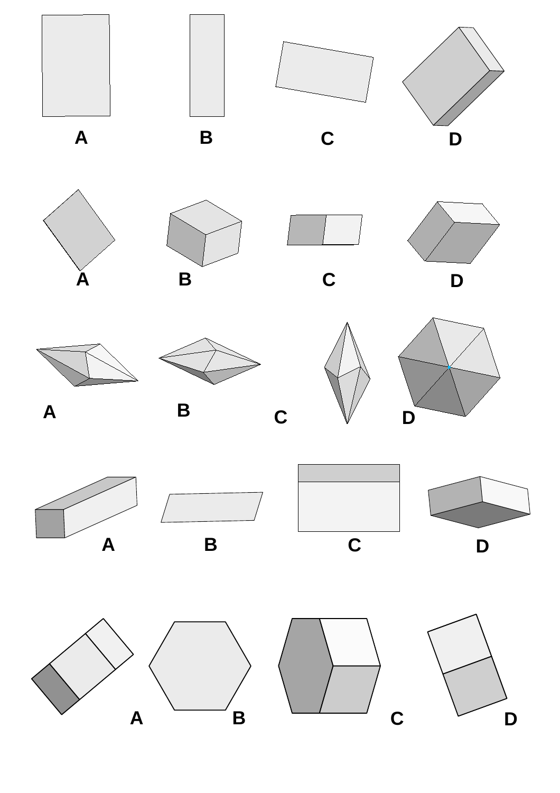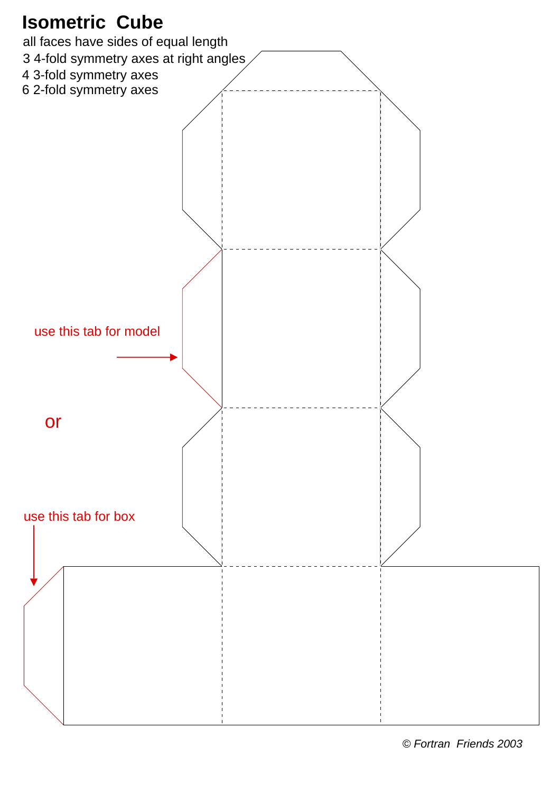

<sup>©</sup> Fortran Friends 2003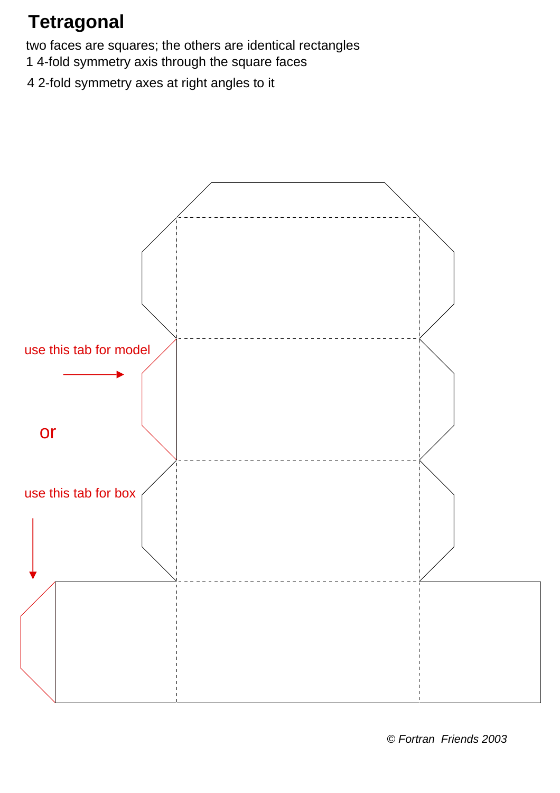## **Tetragonal**

two faces are squares; the others are identical rectangles

- 1 4-fold symmetry axis through the square faces
- 4 2-fold symmetry axes at right angles to it

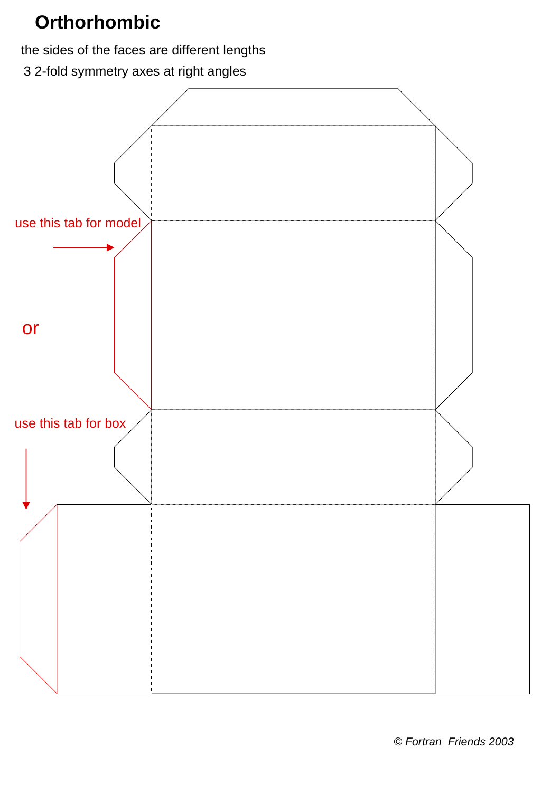### **Orthorhombic**

the sides of the faces are different lengths

3 2-fold symmetry axes at right angles

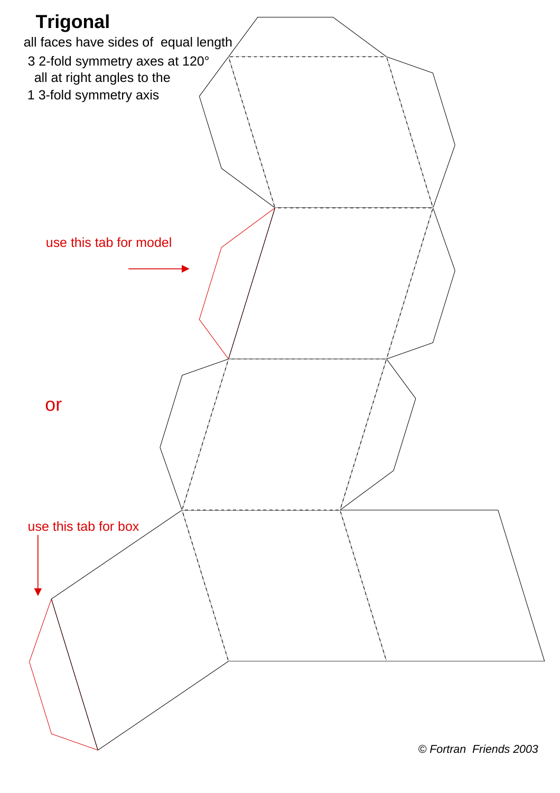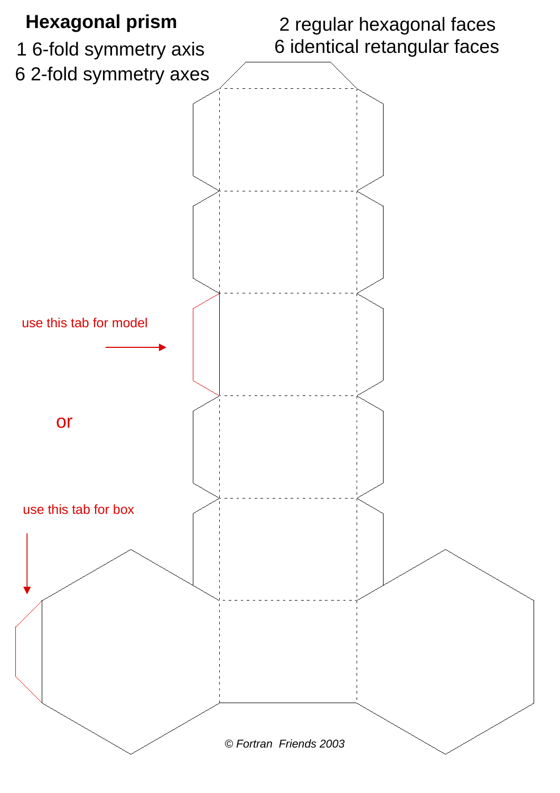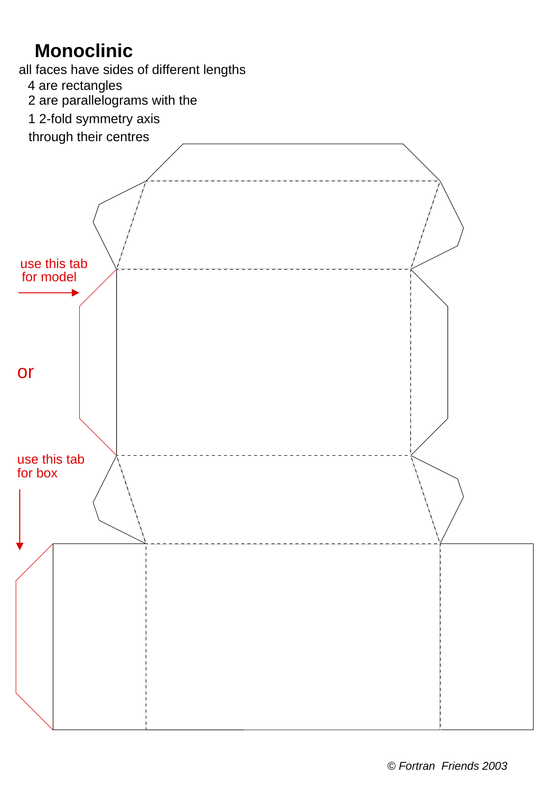## **Monoclinic**

all faces have sides of different lengths

4 are rectangles

2 are parallelograms with the

1 2-fold symmetry axis



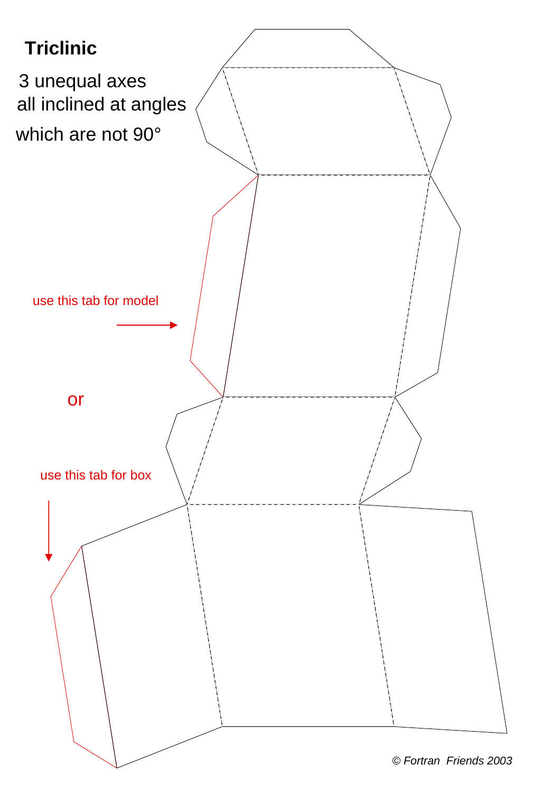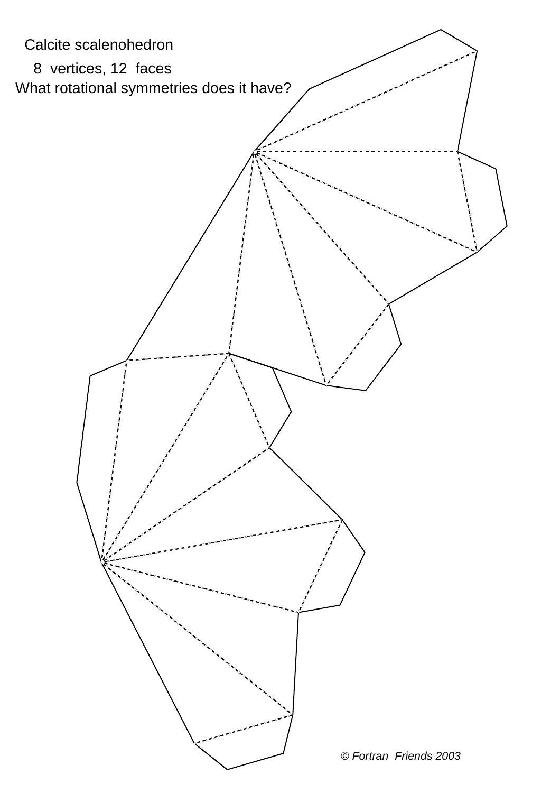